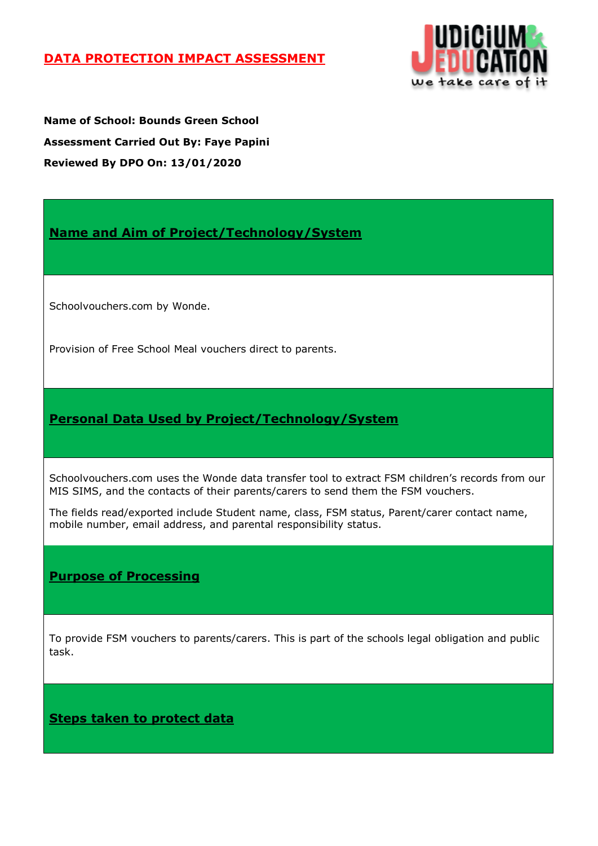## **DATA PROTECTION IMPACT ASSESSMENT**



**Name of School: Bounds Green School Assessment Carried Out By: Faye Papini Reviewed By DPO On: 13/01/2020**

**Name and Aim of Project/Technology/System**

Schoolvouchers.com by Wonde.

Provision of Free School Meal vouchers direct to parents.

# **Personal Data Used by Project/Technology/System**

Schoolvouchers.com uses the Wonde data transfer tool to extract FSM children's records from our MIS SIMS, and the contacts of their parents/carers to send them the FSM vouchers.

The fields read/exported include Student name, class, FSM status, Parent/carer contact name, mobile number, email address, and parental responsibility status.

## **Purpose of Processing**

To provide FSM vouchers to parents/carers. This is part of the schools legal obligation and public task.

**Steps taken to protect data**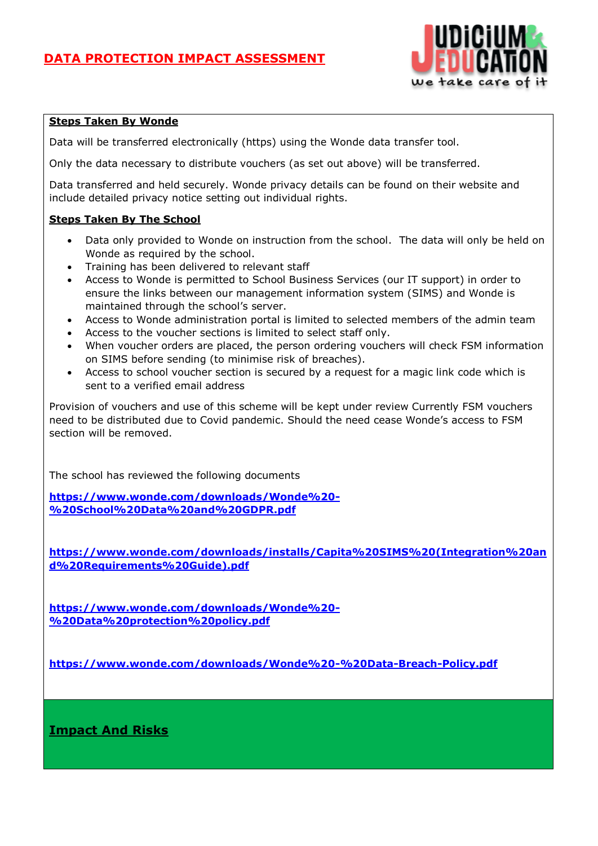

### **Steps Taken By Wonde**

Data will be transferred electronically (https) using the Wonde data transfer tool.

Only the data necessary to distribute vouchers (as set out above) will be transferred.

Data transferred and held securely. Wonde privacy details can be found on their website and include detailed privacy notice setting out individual rights.

### **Steps Taken By The School**

- Data only provided to Wonde on instruction from the school. The data will only be held on Wonde as required by the school.
- Training has been delivered to relevant staff
- Access to Wonde is permitted to School Business Services (our IT support) in order to ensure the links between our management information system (SIMS) and Wonde is maintained through the school's server.
- Access to Wonde administration portal is limited to selected members of the admin team
- Access to the voucher sections is limited to select staff only.
- When voucher orders are placed, the person ordering vouchers will check FSM information on SIMS before sending (to minimise risk of breaches).
- Access to school voucher section is secured by a request for a magic link code which is sent to a verified email address

Provision of vouchers and use of this scheme will be kept under review Currently FSM vouchers need to be distributed due to Covid pandemic. Should the need cease Wonde's access to FSM section will be removed.

The school has reviewed the following documents

**[https://www.wonde.com/downloads/Wonde%20-](https://www.wonde.com/downloads/Wonde%20-%20School%20Data%20and%20GDPR.pdf) [%20School%20Data%20and%20GDPR.pdf](https://www.wonde.com/downloads/Wonde%20-%20School%20Data%20and%20GDPR.pdf)**

**[https://www.wonde.com/downloads/installs/Capita%20SIMS%20\(Integration%20an](https://www.wonde.com/downloads/installs/Capita%20SIMS%20(Integration%20and%20Requirements%20Guide).pdf) [d%20Requirements%20Guide\).pdf](https://www.wonde.com/downloads/installs/Capita%20SIMS%20(Integration%20and%20Requirements%20Guide).pdf)**

**[https://www.wonde.com/downloads/Wonde%20-](https://www.wonde.com/downloads/Wonde%20-%20Data%20protection%20policy.pdf) [%20Data%20protection%20policy.pdf](https://www.wonde.com/downloads/Wonde%20-%20Data%20protection%20policy.pdf)**

**<https://www.wonde.com/downloads/Wonde%20-%20Data-Breach-Policy.pdf>**

**Impact And Risks**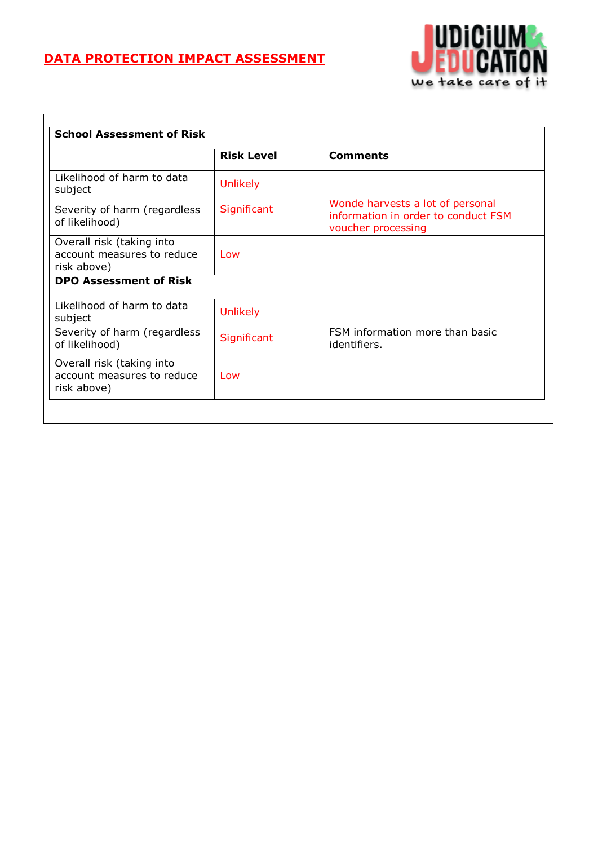# **DATA PROTECTION IMPACT ASSESSMENT**



|                                                                        | <b>Risk Level</b> | <b>Comments</b>                                                                               |
|------------------------------------------------------------------------|-------------------|-----------------------------------------------------------------------------------------------|
| Likelihood of harm to data<br>subject                                  | <b>Unlikely</b>   |                                                                                               |
| Severity of harm (regardless<br>of likelihood)                         | Significant       | Wonde harvests a lot of personal<br>information in order to conduct FSM<br>voucher processing |
| Overall risk (taking into<br>account measures to reduce<br>risk above) | Low               |                                                                                               |
| <b>DPO Assessment of Risk</b>                                          |                   |                                                                                               |
| Likelihood of harm to data<br>subject                                  | <b>Unlikely</b>   |                                                                                               |
| Severity of harm (regardless<br>of likelihood)                         | Significant       | FSM information more than basic<br>identifiers.                                               |
| Overall risk (taking into<br>account measures to reduce<br>risk above) | Low               |                                                                                               |